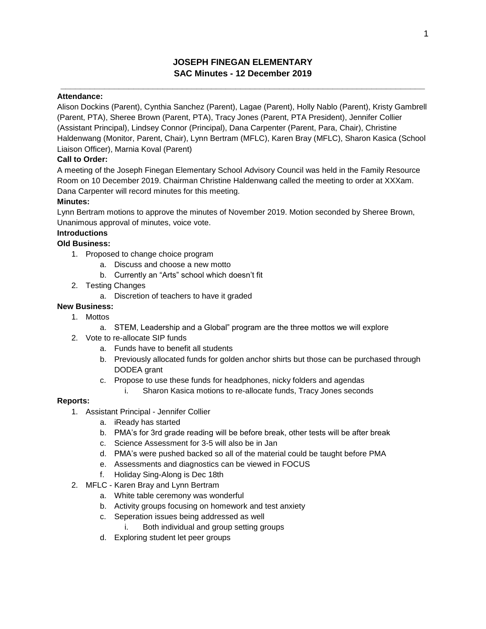# **JOSEPH FINEGAN ELEMENTARY SAC Minutes - 12 December 2019**

**\_\_\_\_\_\_\_\_\_\_\_\_\_\_\_\_\_\_\_\_\_\_\_\_\_\_\_\_\_\_\_\_\_\_\_\_\_\_\_\_\_\_\_\_\_\_\_\_\_\_\_\_\_\_\_\_\_\_\_\_\_\_\_\_\_\_\_\_\_\_\_\_\_\_\_**

### **Attendance:**

Alison Dockins (Parent), Cynthia Sanchez (Parent), Lagae (Parent), Holly Nablo (Parent), Kristy Gambrell (Parent, PTA), Sheree Brown (Parent, PTA), Tracy Jones (Parent, PTA President), Jennifer Collier (Assistant Principal), Lindsey Connor (Principal), Dana Carpenter (Parent, Para, Chair), Christine Haldenwang (Monitor, Parent, Chair), Lynn Bertram (MFLC), Karen Bray (MFLC), Sharon Kasica (School Liaison Officer), Marnia Koval (Parent)

### **Call to Order:**

A meeting of the Joseph Finegan Elementary School Advisory Council was held in the Family Resource Room on 10 December 2019. Chairman Christine Haldenwang called the meeting to order at XXXam. Dana Carpenter will record minutes for this meeting.

### **Minutes:**

Lynn Bertram motions to approve the minutes of November 2019. Motion seconded by Sheree Brown, Unanimous approval of minutes, voice vote.

### **Introductions**

### **Old Business:**

- 1. Proposed to change choice program
	- a. Discuss and choose a new motto
	- b. Currently an "Arts" school which doesn't fit
- 2. Testing Changes
	- a. Discretion of teachers to have it graded

### **New Business:**

- 1. Mottos
	- a. STEM, Leadership and a Global" program are the three mottos we will explore
- 2. Vote to re-allocate SIP funds
	- a. Funds have to benefit all students
	- b. Previously allocated funds for golden anchor shirts but those can be purchased through DODEA grant
	- c. Propose to use these funds for headphones, nicky folders and agendas i. Sharon Kasica motions to re-allocate funds, Tracy Jones seconds

#### **Reports:**

- 1. Assistant Principal Jennifer Collier
	- a. iReady has started
	- b. PMA's for 3rd grade reading will be before break, other tests will be after break
	- c. Science Assessment for 3-5 will also be in Jan
	- d. PMA's were pushed backed so all of the material could be taught before PMA
	- e. Assessments and diagnostics can be viewed in FOCUS
	- f. Holiday Sing-Along is Dec 18th
- 2. MFLC Karen Bray and Lynn Bertram
	- a. White table ceremony was wonderful
	- b. Activity groups focusing on homework and test anxiety
	- c. Seperation issues being addressed as well
		- i. Both individual and group setting groups
	- d. Exploring student let peer groups